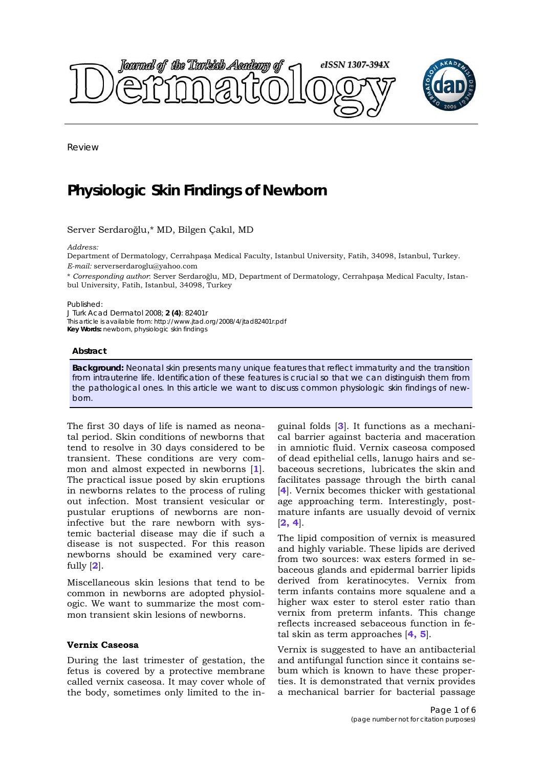

Review

# **Physiologic Skin Findings of Newborn**

Server Serdaroğlu,\* MD, Bilgen Çakıl, MD

*Address:* 

Department of Dermatology, Cerrahpaşa Medical Faculty, Istanbul University, Fatih, 34098, Istanbul, Turkey. *E-mail:* serverserdaroglu@yahoo.com

\* *Corresponding author*: Server Serdaroğlu, MD, Department of Dermatology, Cerrahpaşa Medical Faculty, Istanbul University, Fatih, Istanbul, 34098, Turkey

Published:

*J Turk Acad Dermatol* 2008; **2 (4)**: 82401r

This article is available from: http://www.jtad.org/2008/4/jtad82401r.pdf

**Key Words:** newborn, physiologic skin findings

#### **Abstract**

**Background:** Neonatal skin presents many unique features that reflect immaturity and the transition from intrauterine life. Identification of these features is crucial so that we can distinguish them from the pathological ones. In this article we want to discuss common physiologic skin findings of newborn.

The first 30 days of life is named as neonatal period. Skin conditions of newborns that tend to resolve in 30 days considered to be transient. These conditions are very common and almost expected in newborns [**1**]. The practical issue posed by skin eruptions in newborns relates to the process of ruling out infection. Most transient vesicular or pustular eruptions of newborns are noninfective but the rare newborn with systemic bacterial disease may die if such a disease is not suspected. For this reason newborns should be examined very carefully [**2**].

Miscellaneous skin lesions that tend to be common in newborns are adopted physiologic. We want to summarize the most common transient skin lesions of newborns.

## **Vernix Caseosa**

During the last trimester of gestation, the fetus is covered by a protective membrane called vernix caseosa. It may cover whole of the body, sometimes only limited to the inguinal folds [**3**]. It functions as a mechanical barrier against bacteria and maceration in amniotic fluid. Vernix caseosa composed of dead epithelial cells, lanugo hairs and sebaceous secretions, lubricates the skin and facilitates passage through the birth canal [**4**]. Vernix becomes thicker with gestational age approaching term. Interestingly, postmature infants are usually devoid of vernix [**2, 4**].

The lipid composition of vernix is measured and highly variable. These lipids are derived from two sources: wax esters formed in sebaceous glands and epidermal barrier lipids derived from keratinocytes. Vernix from term infants contains more squalene and a higher wax ester to sterol ester ratio than vernix from preterm infants. This change reflects increased sebaceous function in fetal skin as term approaches [**4, 5**].

Vernix is suggested to have an antibacterial and antifungal function since it contains sebum which is known to have these properties. It is demonstrated that vernix provides a mechanical barrier for bacterial passage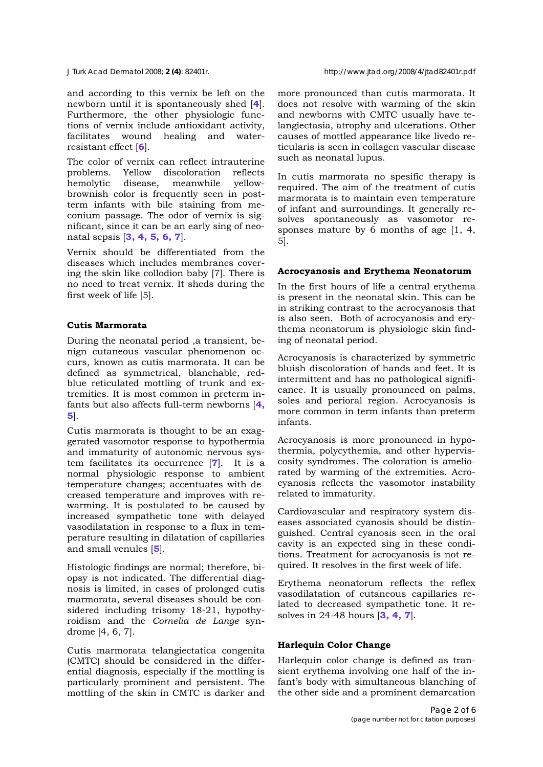and according to this vernix be left on the newborn until it is spontaneously shed [**4**]. Furthermore, the other physiologic functions of vernix include antioxidant activity, facilitates wound healing and waterresistant effect [**6**].

The color of vernix can reflect intrauterine problems. Yellow discoloration reflects hemolytic disease, meanwhile yellowbrownish color is frequently seen in postterm infants with bile staining from meconium passage. The odor of vernix is significant, since it can be an early sing of neonatal sepsis [**3, 4, 5, 6, 7**].

Vernix should be differentiated from the diseases which includes membranes covering the skin like collodion baby [7]. There is no need to treat vernix. It sheds during the first week of life [5].

### **Cutis Marmorata**

During the neonatal period ,a transient, benign cutaneous vascular phenomenon occurs, known as cutis marmorata. It can be defined as symmetrical, blanchable, redblue reticulated mottling of trunk and extremities. It is most common in preterm infants but also affects full-term newborns [**4, 5**].

Cutis marmorata is thought to be an exaggerated vasomotor response to hypothermia and immaturity of autonomic nervous system facilitates its occurrence [**7**]. It is a normal physiologic response to ambient temperature changes; accentuates with decreased temperature and improves with rewarming. It is postulated to be caused by increased sympathetic tone with delayed vasodilatation in response to a flux in temperature resulting in dilatation of capillaries and small venules [**5**].

Histologic findings are normal; therefore, biopsy is not indicated. The differential diagnosis is limited, in cases of prolonged cutis marmorata, several diseases should be considered including trisomy 18-21, hypothyroidism and the *Cornelia de Lange* syndrome [4, 6, 7].

Cutis marmorata telangiectatica congenita (CMTC) should be considered in the differential diagnosis, especially if the mottling is particularly prominent and persistent. The mottling of the skin in CMTC is darker and more pronounced than cutis marmorata. It does not resolve with warming of the skin and newborns with CMTC usually have telangiectasia, atrophy and ulcerations. Other causes of mottled appearance like livedo reticularis is seen in collagen vascular disease such as neonatal lupus.

In cutis marmorata no spesific therapy is required. The aim of the treatment of cutis marmorata is to maintain even temperature of infant and surroundings. It generally resolves spontaneously as vasomotor responses mature by 6 months of age [1, 4, 5].

#### **Acrocyanosis and Erythema Neonatorum**

In the first hours of life a central erythema is present in the neonatal skin. This can be in striking contrast to the acrocyanosis that is also seen. Both of acrocyanosis and erythema neonatorum is physiologic skin finding of neonatal period.

Acrocyanosis is characterized by symmetric bluish discoloration of hands and feet. It is intermittent and has no pathological significance. It is usually pronounced on palms, soles and perioral region. Acrocyanosis is more common in term infants than preterm infants.

Acrocyanosis is more pronounced in hypothermia, polycythemia, and other hyperviscosity syndromes. The coloration is ameliorated by warming of the extremities. Acrocyanosis reflects the vasomotor instability related to immaturity.

Cardiovascular and respiratory system diseases associated cyanosis should be distinguished. Central cyanosis seen in the oral cavity is an expected sing in these conditions. Treatment for acrocyanosis is not required. It resolves in the first week of life.

Erythema neonatorum reflects the reflex vasodilatation of cutaneous capillaries related to decreased sympathetic tone. It resolves in 24-48 hours [**3, 4, 7**].

#### **Harlequin Color Change**

Harlequin color change is defined as transient erythema involving one half of the infant's body with simultaneous blanching of the other side and a prominent demarcation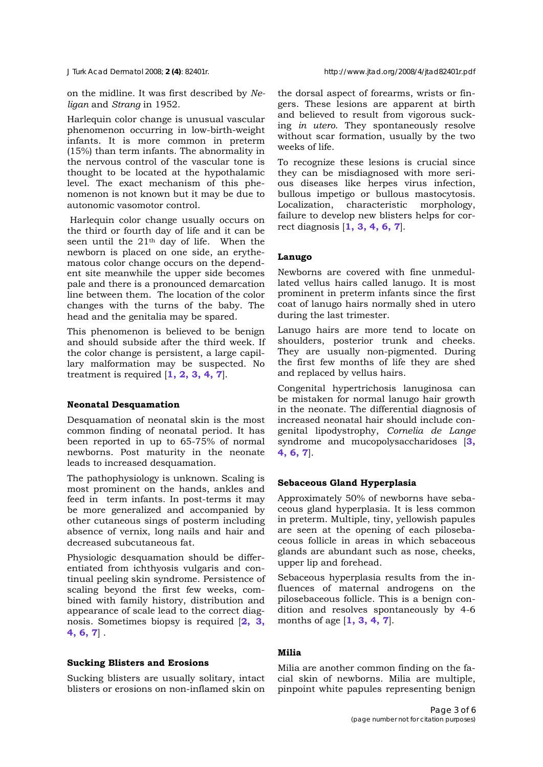on the midline. It was first described by *Neligan* and *Strang* in 1952.

Harlequin color change is unusual vascular phenomenon occurring in low-birth-weight infants. It is more common in preterm (15%) than term infants. The abnormality in the nervous control of the vascular tone is thought to be located at the hypothalamic level. The exact mechanism of this phenomenon is not known but it may be due to autonomic vasomotor control.

 Harlequin color change usually occurs on the third or fourth day of life and it can be seen until the 21th day of life. When the newborn is placed on one side, an erythematous color change occurs on the dependent site meanwhile the upper side becomes pale and there is a pronounced demarcation line between them. The location of the color changes with the turns of the baby. The head and the genitalia may be spared.

This phenomenon is believed to be benign and should subside after the third week. If the color change is persistent, a large capillary malformation may be suspected. No treatment is required [**1, 2, 3, 4, 7**].

#### **Neonatal Desquamation**

Desquamation of neonatal skin is the most common finding of neonatal period. It has been reported in up to 65-75% of normal newborns. Post maturity in the neonate leads to increased desquamation.

The pathophysiology is unknown. Scaling is most prominent on the hands, ankles and feed in term infants. In post-terms it may be more generalized and accompanied by other cutaneous sings of posterm including absence of vernix, long nails and hair and decreased subcutaneous fat.

Physiologic desquamation should be differentiated from ichthyosis vulgaris and continual peeling skin syndrome. Persistence of scaling beyond the first few weeks, combined with family history, distribution and appearance of scale lead to the correct diagnosis. Sometimes biopsy is required [**2, 3, 4, 6, 7**] .

## **Sucking Blisters and Erosions**

Sucking blisters are usually solitary, intact blisters or erosions on non-inflamed skin on the dorsal aspect of forearms, wrists or fingers. These lesions are apparent at birth and believed to result from vigorous sucking *in utero*. They spontaneously resolve without scar formation, usually by the two weeks of life.

To recognize these lesions is crucial since they can be misdiagnosed with more serious diseases like herpes virus infection, bullous impetigo or bullous mastocytosis. Localization, characteristic morphology, failure to develop new blisters helps for correct diagnosis [**1, 3, 4, 6, 7**].

## **Lanugo**

Newborns are covered with fine unmedullated vellus hairs called lanugo. It is most prominent in preterm infants since the first coat of lanugo hairs normally shed in utero during the last trimester.

Lanugo hairs are more tend to locate on shoulders, posterior trunk and cheeks. They are usually non-pigmented. During the first few months of life they are shed and replaced by vellus hairs.

Congenital hypertrichosis lanuginosa can be mistaken for normal lanugo hair growth in the neonate. The differential diagnosis of increased neonatal hair should include congenital lipodystrophy, *Cornelia de Lange*  syndrome and mucopolysaccharidoses [**3, 4, 6, 7**].

#### **Sebaceous Gland Hyperplasia**

Approximately 50% of newborns have sebaceous gland hyperplasia. It is less common in preterm. Multiple, tiny, yellowish papules are seen at the opening of each pilosebaceous follicle in areas in which sebaceous glands are abundant such as nose, cheeks, upper lip and forehead.

Sebaceous hyperplasia results from the influences of maternal androgens on the pilosebaceous follicle. This is a benign condition and resolves spontaneously by 4-6 months of age [**1, 3, 4, 7**].

## **Milia**

Milia are another common finding on the facial skin of newborns. Milia are multiple, pinpoint white papules representing benign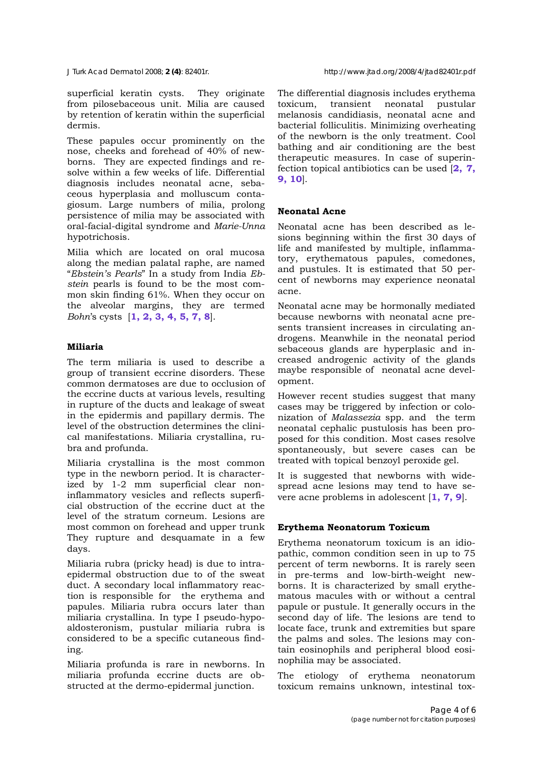superficial keratin cysts. They originate from pilosebaceous unit. Milia are caused by retention of keratin within the superficial dermis.

These papules occur prominently on the nose, cheeks and forehead of 40% of newborns. They are expected findings and resolve within a few weeks of life. Differential diagnosis includes neonatal acne, sebaceous hyperplasia and molluscum contagiosum. Large numbers of milia, prolong persistence of milia may be associated with oral-facial-digital syndrome and *Marie-Unna* hypotrichosis.

Milia which are located on oral mucosa along the median palatal raphe, are named "*Ebstein's Pearls*" In a study from India *Ebstein* pearls is found to be the most common skin finding 61%. When they occur on the alveolar margins, they are termed *Bohn*'s cysts [**1, 2, 3, 4, 5, 7, 8**].

## **Miliaria**

The term miliaria is used to describe a group of transient eccrine disorders. These common dermatoses are due to occlusion of the eccrine ducts at various levels, resulting in rupture of the ducts and leakage of sweat in the epidermis and papillary dermis. The level of the obstruction determines the clinical manifestations. Miliaria crystallina, rubra and profunda.

Miliaria crystallina is the most common type in the newborn period. It is characterized by 1-2 mm superficial clear noninflammatory vesicles and reflects superficial obstruction of the eccrine duct at the level of the stratum corneum. Lesions are most common on forehead and upper trunk They rupture and desquamate in a few days.

Miliaria rubra (pricky head) is due to intraepidermal obstruction due to of the sweat duct. A secondary local inflammatory reaction is responsible for the erythema and papules. Miliaria rubra occurs later than miliaria crystallina. In type I pseudo-hypoaldosteronism, pustular miliaria rubra is considered to be a specific cutaneous finding.

Miliaria profunda is rare in newborns. In miliaria profunda eccrine ducts are obstructed at the dermo-epidermal junction.

The differential diagnosis includes erythema toxicum, transient neonatal pustular melanosis candidiasis, neonatal acne and bacterial folliculitis. Minimizing overheating of the newborn is the only treatment. Cool bathing and air conditioning are the best therapeutic measures. In case of superinfection topical antibiotics can be used [**2, 7, 9, 10**].

# **Neonatal Acne**

Neonatal acne has been described as lesions beginning within the first 30 days of life and manifested by multiple, inflammatory, erythematous papules, comedones, and pustules. It is estimated that 50 percent of newborns may experience neonatal acne.

Neonatal acne may be hormonally mediated because newborns with neonatal acne presents transient increases in circulating androgens. Meanwhile in the neonatal period sebaceous glands are hyperplasic and increased androgenic activity of the glands maybe responsible of neonatal acne development.

However recent studies suggest that many cases may be triggered by infection or colonization of *Malassezia* spp. and the term neonatal cephalic pustulosis has been proposed for this condition. Most cases resolve spontaneously, but severe cases can be treated with topical benzoyl peroxide gel.

It is suggested that newborns with widespread acne lesions may tend to have severe acne problems in adolescent [**1, 7, 9**].

# **Erythema Neonatorum Toxicum**

Erythema neonatorum toxicum is an idiopathic, common condition seen in up to 75 percent of term newborns. It is rarely seen in pre-terms and low-birth-weight newborns. It is characterized by small erythematous macules with or without a central papule or pustule. It generally occurs in the second day of life. The lesions are tend to locate face, trunk and extremities but spare the palms and soles. The lesions may contain eosinophils and peripheral blood eosinophilia may be associated.

The etiology of erythema neonatorum toxicum remains unknown, intestinal tox-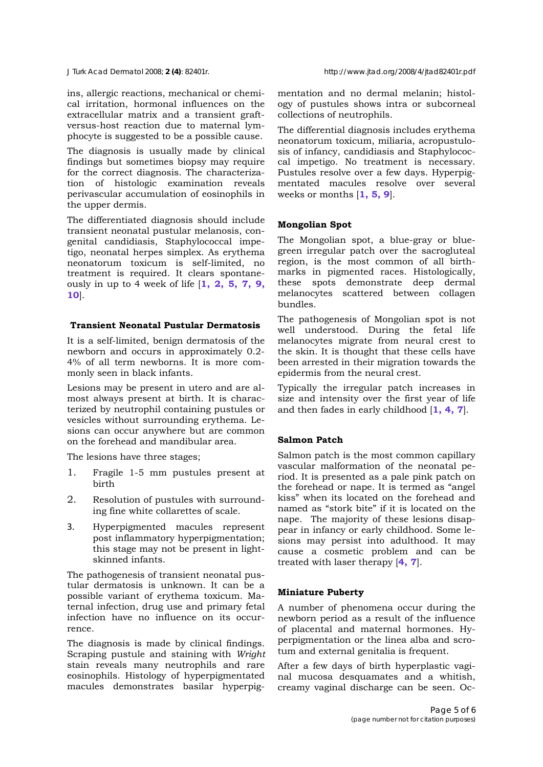ins, allergic reactions, mechanical or chemical irritation, hormonal influences on the extracellular matrix and a transient graftversus-host reaction due to maternal lymphocyte is suggested to be a possible cause.

The diagnosis is usually made by clinical findings but sometimes biopsy may require for the correct diagnosis. The characterization of histologic examination reveals perivascular accumulation of eosinophils in the upper dermis.

The differentiated diagnosis should include transient neonatal pustular melanosis, congenital candidiasis, Staphylococcal impetigo, neonatal herpes simplex. As erythema neonatorum toxicum is self-limited, no treatment is required. It clears spontaneously in up to 4 week of life [**1, 2, 5, 7, 9, 10**].

### **Transient Neonatal Pustular Dermatosis**

It is a self-limited, benign dermatosis of the newborn and occurs in approximately 0.2- 4% of all term newborns. It is more commonly seen in black infants.

Lesions may be present in utero and are almost always present at birth. It is characterized by neutrophil containing pustules or vesicles without surrounding erythema. Lesions can occur anywhere but are common on the forehead and mandibular area.

The lesions have three stages;

- 1. Fragile 1-5 mm pustules present at birth
- 2. Resolution of pustules with surrounding fine white collarettes of scale.
- 3. Hyperpigmented macules represent post inflammatory hyperpigmentation; this stage may not be present in lightskinned infants.

The pathogenesis of transient neonatal pustular dermatosis is unknown. It can be a possible variant of erythema toxicum. Maternal infection, drug use and primary fetal infection have no influence on its occurrence.

The diagnosis is made by clinical findings. Scraping pustule and staining with *Wright* stain reveals many neutrophils and rare eosinophils. Histology of hyperpigmentated macules demonstrates basilar hyperpigmentation and no dermal melanin; histology of pustules shows intra or subcorneal collections of neutrophils.

The differential diagnosis includes erythema neonatorum toxicum, miliaria, acropustulosis of infancy, candidiasis and Staphylococcal impetigo. No treatment is necessary. Pustules resolve over a few days. Hyperpigmentated macules resolve over several weeks or months [**1, 5, 9**].

## **Mongolian Spot**

The Mongolian spot, a blue-gray or bluegreen irregular patch over the sacrogluteal region, is the most common of all birthmarks in pigmented races. Histologically, these spots demonstrate deep dermal melanocytes scattered between collagen bundles.

The pathogenesis of Mongolian spot is not well understood. During the fetal life melanocytes migrate from neural crest to the skin. It is thought that these cells have been arrested in their migration towards the epidermis from the neural crest.

Typically the irregular patch increases in size and intensity over the first year of life and then fades in early childhood [**1, 4, 7**].

## **Salmon Patch**

Salmon patch is the most common capillary vascular malformation of the neonatal period. It is presented as a pale pink patch on the forehead or nape. It is termed as "angel kiss" when its located on the forehead and named as "stork bite" if it is located on the nape. The majority of these lesions disappear in infancy or early childhood. Some lesions may persist into adulthood. It may cause a cosmetic problem and can be treated with laser therapy [**4, 7**].

#### **Miniature Puberty**

A number of phenomena occur during the newborn period as a result of the influence of placental and maternal hormones. Hyperpigmentation or the linea alba and scrotum and external genitalia is frequent.

After a few days of birth hyperplastic vaginal mucosa desquamates and a whitish, creamy vaginal discharge can be seen. Oc-